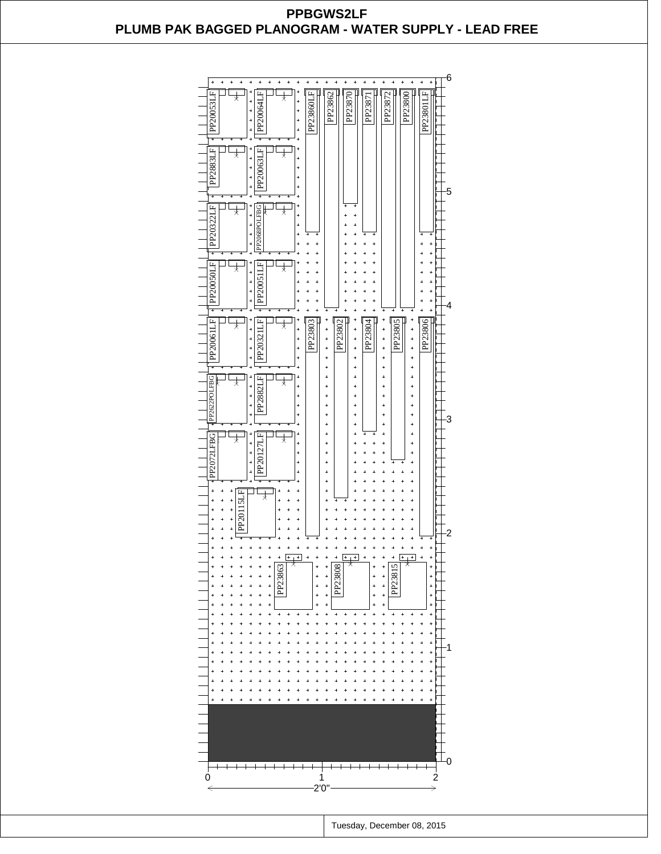